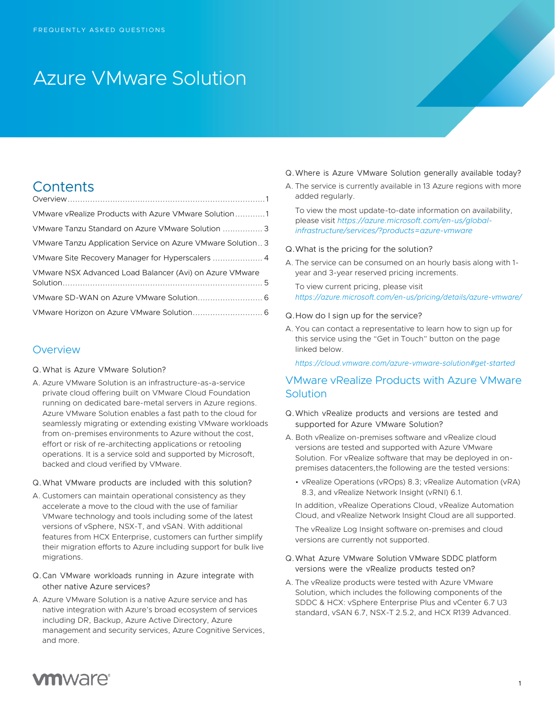# Azure VMware Solution

## **Contents**

| VMware vRealize Products with Azure VMware Solution1        |  |
|-------------------------------------------------------------|--|
| VMware Tanzu Standard on Azure VMware Solution 3            |  |
| VMware Tanzu Application Service on Azure VMware Solution 3 |  |
|                                                             |  |
| VMware NSX Advanced Load Balancer (Avi) on Azure VMware     |  |
|                                                             |  |
|                                                             |  |

### **Overview**

#### Q.What is Azure VMware Solution?

- A. Azure VMware Solution is an infrastructure-as-a-service private cloud offering built on VMware Cloud Foundation running on dedicated bare-metal servers in Azure regions. Azure VMware Solution enables a fast path to the cloud for seamlessly migrating or extending existing VMware workloads from on-premises environments to Azure without the cost, effort or risk of re-architecting applications or retooling operations. It is a service sold and supported by Microsoft, backed and cloud verified by VMware.
- Q.What VMware products are included with this solution?
- A. Customers can maintain operational consistency as they accelerate a move to the cloud with the use of familiar VMware technology and tools including some of the latest versions of vSphere, NSX-T, and vSAN. With additional features from HCX Enterprise, customers can further simplify their migration efforts to Azure including support for bulk live migrations.
- Q.Can VMware workloads running in Azure integrate with other native Azure services?
- A. Azure VMware Solution is a native Azure service and has native integration with Azure's broad ecosystem of services including DR, Backup, Azure Active Directory, Azure management and security services, Azure Cognitive Services, and more.

#### Q.Where is Azure VMware Solution generally available today?

A. The service is currently available in 13 Azure regions with more added regularly.

To view the most update-to-date information on availability, please visit *[https://azure.microsoft.com/en-us/global](https://azure.microsoft.com/en-us/global-infrastructure/services/?products=azure-vmware)[infrastructure/services/?products=azure-vmware](https://azure.microsoft.com/en-us/global-infrastructure/services/?products=azure-vmware)*

- Q.What is the pricing for the solution?
- A. The service can be consumed on an hourly basis along with 1 year and 3-year reserved pricing increments.

To view current pricing, please visit *<https://azure.microsoft.com/en-us/pricing/details/azure-vmware/>*

#### Q.How do I sign up for the service?

A. You can contact a representative to learn how to sign up for this service using the "Get in Touch" button on the page linked below.

*<https://cloud.vmware.com/azure-vmware-solution#get-started>*

## VMware vRealize Products with Azure VMware Solution

- Q.Which vRealize products and versions are tested and supported for Azure VMware Solution?
- A. Both vRealize on-premises software and vRealize cloud versions are tested and supported with Azure VMware Solution. For vRealize software that may be deployed in onpremises datacenters,the following are the tested versions:
	- vRealize Operations (vROps) 8.3; vRealize Automation (vRA) 8.3, and vRealize Network Insight (vRNI) 6.1.

In addition, vRealize Operations Cloud, vRealize Automation Cloud, and vRealize Network Insight Cloud are all supported.

The vRealize Log Insight software on-premises and cloud versions are currently not supported.

- Q.What Azure VMware Solution VMware SDDC platform versions were the vRealize products tested on?
- A. The vRealize products were tested with Azure VMware Solution, which includes the following components of the SDDC & HCX: vSphere Enterprise Plus and vCenter 6.7 U3 standard, vSAN 6.7, NSX-T 2.5.2, and HCX R139 Advanced.

## **vm**ware<sup>®</sup>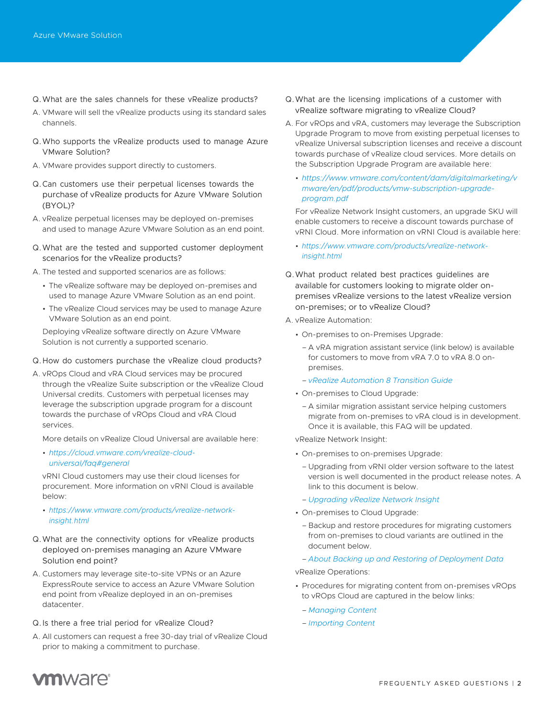- Q.What are the sales channels for these vRealize products?
- A. VMware will sell the vRealize products using its standard sales channels.
- Q.Who supports the vRealize products used to manage Azure VMware Solution?
- A. VMware provides support directly to customers.
- Q.Can customers use their perpetual licenses towards the purchase of vRealize products for Azure VMware Solution (BYOL)?
- A. vRealize perpetual licenses may be deployed on-premises and used to manage Azure VMware Solution as an end point.
- Q.What are the tested and supported customer deployment scenarios for the vRealize products?
- A. The tested and supported scenarios are as follows:
	- The vRealize software may be deployed on-premises and used to manage Azure VMware Solution as an end point.
	- The vRealize Cloud services may be used to manage Azure VMware Solution as an end point.

Deploying vRealize software directly on Azure VMware Solution is not currently a supported scenario.

- Q.How do customers purchase the vRealize cloud products?
- A. vROps Cloud and vRA Cloud services may be procured through the vRealize Suite subscription or the vRealize Cloud Universal credits. Customers with perpetual licenses may leverage the subscription upgrade program for a discount towards the purchase of vROps Cloud and vRA Cloud services.

More details on vRealize Cloud Universal are available here:

• *[https://cloud.vmware.com/vrealize-cloud](https://cloud.vmware.com/vrealize-cloud-universal/faq#general)[universal/faq#general](https://cloud.vmware.com/vrealize-cloud-universal/faq#general)*

vRNI Cloud customers may use their cloud licenses for procurement. More information on vRNI Cloud is available below:

- *[https://www.vmware.com/products/vrealize-network](https://www.vmware.com/products/vrealize-network-insight.html)[insight.html](https://www.vmware.com/products/vrealize-network-insight.html)*
- Q.What are the connectivity options for vRealize products deployed on-premises managing an Azure VMware Solution end point?
- A. Customers may leverage site-to-site VPNs or an Azure ExpressRoute service to access an Azure VMware Solution end point from vRealize deployed in an on-premises datacenter.
- Q.Is there a free trial period for vRealize Cloud?
- A. All customers can request a free 30-day trial of vRealize Cloud prior to making a commitment to purchase.
- Q.What are the licensing implications of a customer with vRealize software migrating to vRealize Cloud?
- A. For vROps and vRA, customers may leverage the Subscription Upgrade Program to move from existing perpetual licenses to vRealize Universal subscription licenses and receive a discount towards purchase of vRealize cloud services. More details on the Subscription Upgrade Program are available here:
	- *[https://www.vmware.com/content/dam/digitalmarketing/v](https://www.vmware.com/content/dam/digitalmarketing/vmware/en/pdf/products/vmw-subscription-upgrade-program.pdf) [mware/en/pdf/products/vmw-subscription-upgrade](https://www.vmware.com/content/dam/digitalmarketing/vmware/en/pdf/products/vmw-subscription-upgrade-program.pdf)[program.pdf](https://www.vmware.com/content/dam/digitalmarketing/vmware/en/pdf/products/vmw-subscription-upgrade-program.pdf)*

For vRealize Network Insight customers, an upgrade SKU will enable customers to receive a discount towards purchase of vRNI Cloud. More information on vRNI Cloud is available here:

- *[https://www.vmware.com/products/vrealize-network](https://www.vmware.com/products/vrealize-network-insight.html)[insight.html](https://www.vmware.com/products/vrealize-network-insight.html)*
- Q.What product related best practices guidelines are available for customers looking to migrate older onpremises vRealize versions to the latest vRealize version on-premises; or to vRealize Cloud?
- A. vRealize Automation:
	- On-premises to on-Premises Upgrade:
		- A vRA migration assistant service (link below) is available for customers to move from vRA 7.0 to vRA 8.0 onpremises.
		- *[vRealize Automation 8 Transition Guide](https://docs.vmware.com/en/vRealize-Automation/8.4/vrealize-automation-transition/GUID-F25D8EAC-4EE8-4E3E-96B4-05E1CF3B8FF7.html)*
	- On-premises to Cloud Upgrade:
		- A similar migration assistant service helping customers migrate from on-premises to vRA cloud is in development. Once it is available, this FAQ will be updated.

vRealize Network Insight:

- On-premises to on-premises Upgrade:
	- Upgrading from vRNI older version software to the latest version is well documented in the product release notes. A link to this document is below.
	- *[Upgrading vRealize Network Insight](https://docs.vmware.com/en/VMware-vRealize-Network-Insight/6.2/com.vmware.vrni.install.doc/GUID-68BB7850-2051-4B9A-8AC7-B928BE54A8D0.html)*
- On-premises to Cloud Upgrade:
	- Backup and restore procedures for migrating customers from on-premises to cloud variants are outlined in the document below.

– *[About Backing up and Restoring of Deployment Data](https://docs.vmware.com/en/VMware-vRealize-Network-Insight/6.2/com.vmware.vrni.using.doc/GUID-73C42DDB-F52B-4AE7-B21B-E2D31F2A3A2F.html)*

vRealize Operations:

- Procedures for migrating content from on-premises vROps to vROps Cloud are captured in the below links:
	- *[Managing Content](https://docs.vmware.com/en/VMware-vRealize-Operations-Cloud/services/config-guide/GUID-DA2E5876-B51D-4A51-AB58-12605181A1BA.html)*
	- *[Importing Content](https://docs.vmware.com/en/VMware-vRealize-Operations-Cloud/services/config-guide/GUID-891BD726-A169-4163-A08A-08D79BD23AB1.html)*

## **vm**ware<sup>®</sup>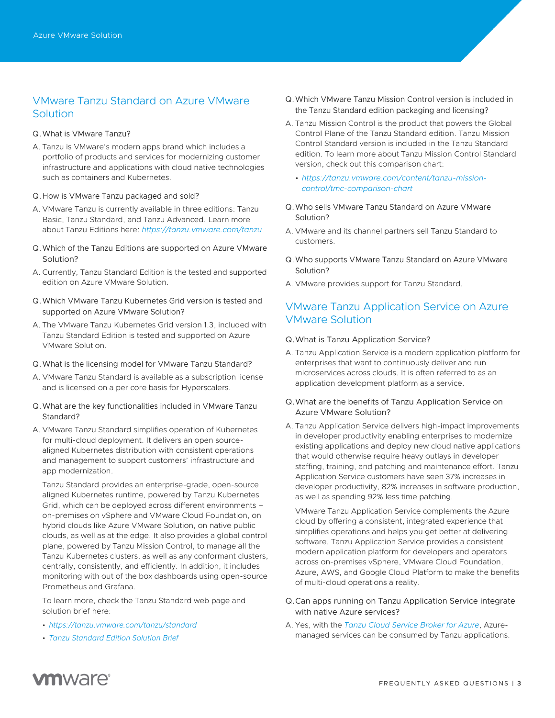## VMware Tanzu Standard on Azure VMware Solution

#### Q.What is VMware Tanzu?

A. Tanzu is VMware's modern apps brand which includes a portfolio of products and services for modernizing customer infrastructure and applications with cloud native technologies such as containers and Kubernetes.

#### Q.How is VMware Tanzu packaged and sold?

- A. VMware Tanzu is currently available in three editions: Tanzu Basic, Tanzu Standard, and Tanzu Advanced. Learn more about Tanzu Editions here: *<https://tanzu.vmware.com/tanzu>*
- Q.Which of the Tanzu Editions are supported on Azure VMware Solution?
- A. Currently, Tanzu Standard Edition is the tested and supported edition on Azure VMware Solution.
- Q.Which VMware Tanzu Kubernetes Grid version is tested and supported on Azure VMware Solution?
- A. The VMware Tanzu Kubernetes Grid version 1.3, included with Tanzu Standard Edition is tested and supported on Azure VMware Solution.
- Q.What is the licensing model for VMware Tanzu Standard?
- A. VMware Tanzu Standard is available as a subscription license and is licensed on a per core basis for Hyperscalers.
- Q.What are the key functionalities included in VMware Tanzu Standard?
- A. VMware Tanzu Standard simplifies operation of Kubernetes for multi-cloud deployment. It delivers an open sourcealigned Kubernetes distribution with consistent operations and management to support customers' infrastructure and app modernization.

Tanzu Standard provides an enterprise-grade, open-source aligned Kubernetes runtime, powered by Tanzu Kubernetes Grid, which can be deployed across different environments – on-premises on vSphere and VMware Cloud Foundation, on hybrid clouds like Azure VMware Solution, on native public clouds, as well as at the edge. It also provides a global control plane, powered by Tanzu Mission Control, to manage all the Tanzu Kubernetes clusters, as well as any conformant clusters, centrally, consistently, and efficiently. In addition, it includes monitoring with out of the box dashboards using open-source Prometheus and Grafana.

To learn more, check the Tanzu Standard web page and solution brief here:

- *<https://tanzu.vmware.com/tanzu/standard>*
- *[Tanzu Standard Edition Solution Brief](https://d1fto35gcfffzn.cloudfront.net/tanzu/VMware-Tanzu-Standard-Solution-Brief.pdf)*
- Q.Which VMware Tanzu Mission Control version is included in the Tanzu Standard edition packaging and licensing?
- A. Tanzu Mission Control is the product that powers the Global Control Plane of the Tanzu Standard edition. Tanzu Mission Control Standard version is included in the Tanzu Standard edition. To learn more about Tanzu Mission Control Standard version, check out this comparison chart:
	- *[https://tanzu.vmware.com/content/tanzu-mission](https://tanzu.vmware.com/content/tanzu-mission-control/tmc-comparison-chart)[control/tmc-comparison-chart](https://tanzu.vmware.com/content/tanzu-mission-control/tmc-comparison-chart)*
- Q.Who sells VMware Tanzu Standard on Azure VMware Solution?
- A. VMware and its channel partners sell Tanzu Standard to customers.
- Q.Who supports VMware Tanzu Standard on Azure VMware Solution?
- A. VMware provides support for Tanzu Standard.

## VMware Tanzu Application Service on Azure VMware Solution

#### Q.What is Tanzu Application Service?

- A. Tanzu Application Service is a modern application platform for enterprises that want to continuously deliver and run microservices across clouds. It is often referred to as an application development platform as a service.
- Q.What are the benefits of Tanzu Application Service on Azure VMware Solution?
- A. Tanzu Application Service delivers high-impact improvements in developer productivity enabling enterprises to modernize existing applications and deploy new cloud native applications that would otherwise require heavy outlays in developer staffing, training, and patching and maintenance effort. Tanzu Application Service customers have seen 37% increases in developer productivity, 82% increases in software production, as well as spending 92% less time patching.

VMware Tanzu Application Service complements the Azure cloud by offering a consistent, integrated experience that simplifies operations and helps you get better at delivering software. Tanzu Application Service provides a consistent modern application platform for developers and operators across on-premises vSphere, VMware Cloud Foundation, Azure, AWS, and Google Cloud Platform to make the benefits of multi-cloud operations a reality.

- Q.Can apps running on Tanzu Application Service integrate with native Azure services?
- A. Yes, with the *[Tanzu Cloud Service Broker for Azure](https://docs.pivotal.io/csb-azure/index.html)*, Azuremanaged services can be consumed by Tanzu applications.

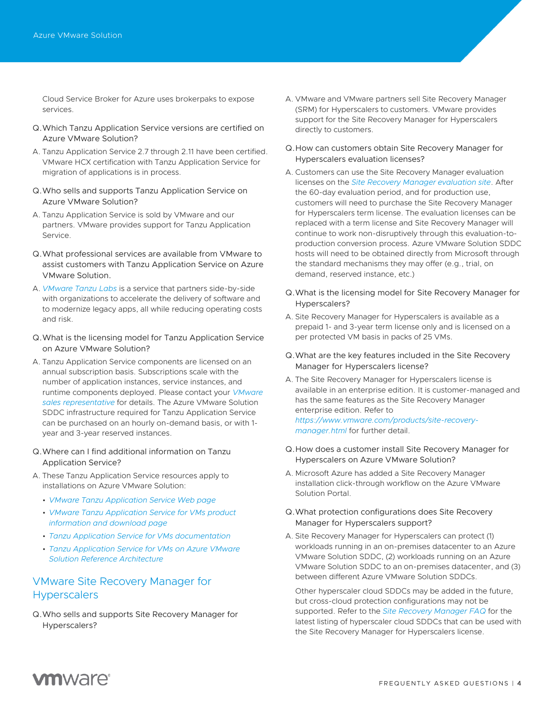Cloud Service Broker for Azure uses brokerpaks to expose services.

- Q.Which Tanzu Application Service versions are certified on Azure VMware Solution?
- A. Tanzu Application Service 2.7 through 2.11 have been certified. VMware HCX certification with Tanzu Application Service for migration of applications is in process.
- Q.Who sells and supports Tanzu Application Service on Azure VMware Solution?
- A. Tanzu Application Service is sold by VMware and our partners. VMware provides support for Tanzu Application Service.
- Q.What professional services are available from VMware to assist customers with Tanzu Application Service on Azure VMware Solution.
- A. *[VMware Tanzu Labs](https://tanzu.vmware.com/labs)* is a service that partners side-by-side with organizations to accelerate the delivery of software and to modernize legacy apps, all while reducing operating costs and risk.
- Q.What is the licensing model for Tanzu Application Service on Azure VMware Solution?
- A. Tanzu Application Service components are licensed on an annual subscription basis. Subscriptions scale with the number of application instances, service instances, and runtime components deployed. Please contact your *[VMware](https://tanzu.vmware.com/application-service#contact-form)  [sales representative](https://tanzu.vmware.com/application-service#contact-form)* for details. The Azure VMware Solution SDDC infrastructure required for Tanzu Application Service can be purchased on an hourly on-demand basis, or with 1 year and 3-year reserved instances.
- Q.Where can I find additional information on Tanzu Application Service?
- A. These Tanzu Application Service resources apply to installations on Azure VMware Solution:
	- *[VMware Tanzu Application Service Web page](https://tanzu.vmware.com/application-service)*
	- *[VMware Tanzu Application Service for VMs product](https://network.tanzu.vmware.com/products/elastic-runtime)  [information and download page](https://network.tanzu.vmware.com/products/elastic-runtime)*
	- *[Tanzu Application Service for VMs documentation](https://docs.pivotal.io/application-service/concepts/overview.html)*
	- *[Tanzu Application Service for VMs on Azure VMware](https://docs.pivotal.io/ops-manager/2-10/refarch/avs/avs_ref_arch.html)  [Solution Reference Architecture](https://docs.pivotal.io/ops-manager/2-10/refarch/avs/avs_ref_arch.html)*

### VMware Site Recovery Manager for **Hyperscalers**

Q.Who sells and supports Site Recovery Manager for Hyperscalers?

- A. VMware and VMware partners sell Site Recovery Manager (SRM) for Hyperscalers to customers. VMware provides support for the Site Recovery Manager for Hyperscalers directly to customers.
- Q.How can customers obtain Site Recovery Manager for Hyperscalers evaluation licenses?
- A. Customers can use the Site Recovery Manager evaluation licenses on the *[Site Recovery Manager evaluation site](https://my.vmware.com/en/web/vmware/evalcenter?p=srm-eval&src=vmw_so_vex_tdege_155)*. After the 60-day evaluation period, and for production use, customers will need to purchase the Site Recovery Manager for Hyperscalers term license. The evaluation licenses can be replaced with a term license and Site Recovery Manager will continue to work non-disruptively through this evaluation-toproduction conversion process. Azure VMware Solution SDDC hosts will need to be obtained directly from Microsoft through the standard mechanisms they may offer (e.g., trial, on demand, reserved instance, etc.)
- Q.What is the licensing model for Site Recovery Manager for Hyperscalers?
- A. Site Recovery Manager for Hyperscalers is available as a prepaid 1- and 3-year term license only and is licensed on a per protected VM basis in packs of 25 VMs.
- Q.What are the key features included in the Site Recovery Manager for Hyperscalers license?
- A. The Site Recovery Manager for Hyperscalers license is available in an enterprise edition. It is customer-managed and has the same features as the Site Recovery Manager enterprise edition. Refer to *[https://www.vmware.com/products/site-recovery](https://www.vmware.com/products/site-recovery-manager.html)[manager.html](https://www.vmware.com/products/site-recovery-manager.html)* for further detail.
- Q.How does a customer install Site Recovery Manager for Hyperscalers on Azure VMware Solution?
- A. Microsoft Azure has added a Site Recovery Manager installation click-through workflow on the Azure VMware Solution Portal.
- Q.What protection configurations does Site Recovery Manager for Hyperscalers support?
- A. Site Recovery Manager for Hyperscalers can protect (1) workloads running in an on-premises datacenter to an Azure VMware Solution SDDC, (2) workloads running on an Azure VMware Solution SDDC to an on-premises datacenter, and (3) between different Azure VMware Solution SDDCs.

Other hyperscaler cloud SDDCs may be added in the future, but cross-cloud protection configurations may not be supported. Refer to the *[Site Recovery Manager FAQ](https://core.vmware.com/resource/site-recovery-manager-faq)* for the latest listing of hyperscaler cloud SDDCs that can be used with the Site Recovery Manager for Hyperscalers license.

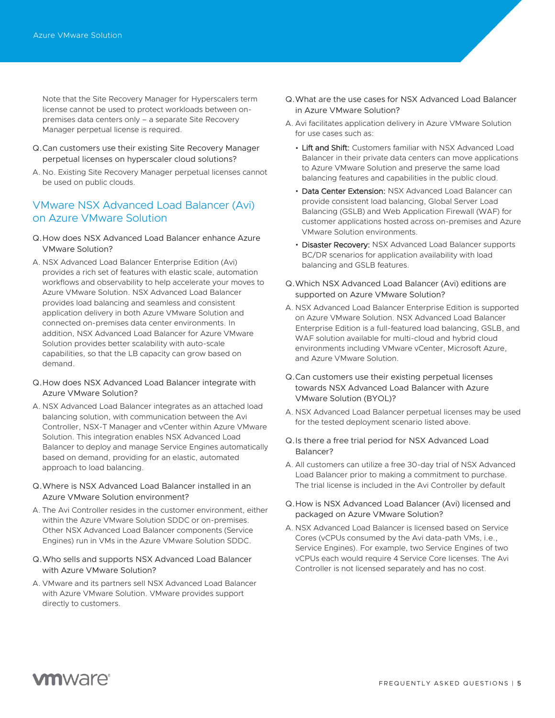Note that the Site Recovery Manager for Hyperscalers term license cannot be used to protect workloads between onpremises data centers only – a separate Site Recovery Manager perpetual license is required.

- Q.Can customers use their existing Site Recovery Manager perpetual licenses on hyperscaler cloud solutions?
- A. No. Existing Site Recovery Manager perpetual licenses cannot be used on public clouds.

### VMware NSX Advanced Load Balancer (Avi) on Azure VMware Solution

- Q.How does NSX Advanced Load Balancer enhance Azure VMware Solution?
- A. NSX Advanced Load Balancer Enterprise Edition (Avi) provides a rich set of features with elastic scale, automation workflows and observability to help accelerate your moves to Azure VMware Solution. NSX Advanced Load Balancer provides load balancing and seamless and consistent application delivery in both Azure VMware Solution and connected on-premises data center environments. In addition, NSX Advanced Load Balancer for Azure VMware Solution provides better scalability with auto-scale capabilities, so that the LB capacity can grow based on demand.
- Q.How does NSX Advanced Load Balancer integrate with Azure VMware Solution?
- A. NSX Advanced Load Balancer integrates as an attached load balancing solution, with communication between the Avi Controller, NSX-T Manager and vCenter within Azure VMware Solution. This integration enables NSX Advanced Load Balancer to deploy and manage Service Engines automatically based on demand, providing for an elastic, automated approach to load balancing.
- Q.Where is NSX Advanced Load Balancer installed in an Azure VMware Solution environment?
- A. The Avi Controller resides in the customer environment, either within the Azure VMware Solution SDDC or on-premises. Other NSX Advanced Load Balancer components (Service Engines) run in VMs in the Azure VMware Solution SDDC.
- Q.Who sells and supports NSX Advanced Load Balancer with Azure VMware Solution?
- A. VMware and its partners sell NSX Advanced Load Balancer with Azure VMware Solution. VMware provides support directly to customers.
- Q.What are the use cases for NSX Advanced Load Balancer in Azure VMware Solution?
- A. Avi facilitates application delivery in Azure VMware Solution for use cases such as:
	- Lift and Shift: Customers familiar with NSX Advanced Load Balancer in their private data centers can move applications to Azure VMware Solution and preserve the same load balancing features and capabilities in the public cloud.
	- Data Center Extension: NSX Advanced Load Balancer can provide consistent load balancing, Global Server Load Balancing (GSLB) and Web Application Firewall (WAF) for customer applications hosted across on-premises and Azure VMware Solution environments.
	- Disaster Recovery: NSX Advanced Load Balancer supports BC/DR scenarios for application availability with load balancing and GSLB features.
- Q.Which NSX Advanced Load Balancer (Avi) editions are supported on Azure VMware Solution?
- A. NSX Advanced Load Balancer Enterprise Edition is supported on Azure VMware Solution. NSX Advanced Load Balancer Enterprise Edition is a full-featured load balancing, GSLB, and WAF solution available for multi-cloud and hybrid cloud environments including VMware vCenter, Microsoft Azure, and Azure VMware Solution.
- Q.Can customers use their existing perpetual licenses towards NSX Advanced Load Balancer with Azure VMware Solution (BYOL)?
- A. NSX Advanced Load Balancer perpetual licenses may be used for the tested deployment scenario listed above.
- Q.Is there a free trial period for NSX Advanced Load Balancer?
- A. All customers can utilize a free 30-day trial of NSX Advanced Load Balancer prior to making a commitment to purchase. The trial license is included in the Avi Controller by default
- Q.How is NSX Advanced Load Balancer (Avi) licensed and packaged on Azure VMware Solution?
- A. NSX Advanced Load Balancer is licensed based on Service Cores (vCPUs consumed by the Avi data-path VMs, i.e., Service Engines). For example, two Service Engines of two vCPUs each would require 4 Service Core licenses. The Avi Controller is not licensed separately and has no cost.

## **vm**ware<sup>®</sup>